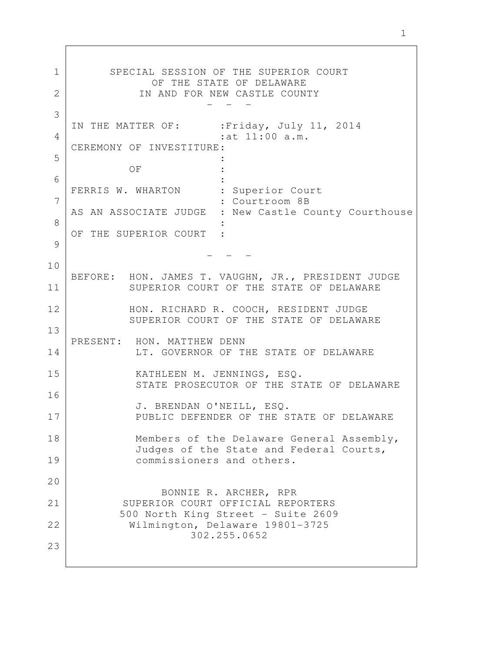SPECIAL SESSION OF THE SUPERIOR COURT OF THE STATE OF DELAWARE IN AND FOR NEW CASTLE COUNTY - - - IN THE MATTER OF: : Friday, July 11, 2014 :at 11:00 a.m. CEREMONY OF INVESTITURE: **Service Control Control Control Control Control** OF : **Service Control Control Control Control Control** FERRIS W. WHARTON : Superior Court : Courtroom 8B AS AN ASSOCIATE JUDGE : New Castle County Courthouse **Service Control Control Control Control Control** OF THE SUPERIOR COURT : - - - BEFORE: HON. JAMES T. VAUGHN, JR., PRESIDENT JUDGE SUPERIOR COURT OF THE STATE OF DELAWARE HON. RICHARD R. COOCH, RESIDENT JUDGE SUPERIOR COURT OF THE STATE OF DELAWARE PRESENT: HON. MATTHEW DENN LT. GOVERNOR OF THE STATE OF DELAWARE KATHLEEN M. JENNINGS, ESQ. STATE PROSECUTOR OF THE STATE OF DELAWARE J. BRENDAN O'NEILL, ESQ. PUBLIC DEFENDER OF THE STATE OF DELAWARE Members of the Delaware General Assembly, Judges of the State and Federal Courts, commissioners and others. BONNIE R. ARCHER, RPR SUPERIOR COURT OFFICIAL REPORTERS 500 North King Street - Suite 2609 Wilmington, Delaware 19801-3725 302.255.0652 1 2 3 4 5 6 7 8 9 10 11 12 13 14 15 16 17 18 19  $20$ 21 22 23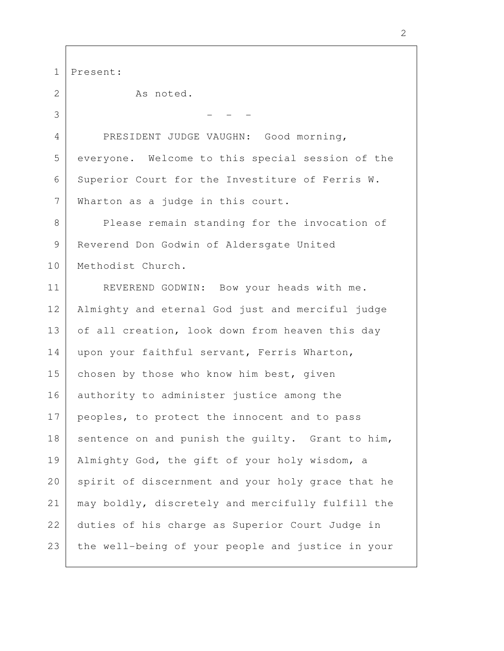Present: As noted. - - - PRESIDENT JUDGE VAUGHN: Good morning, everyone. Welcome to this special session of the Superior Court for the Investiture of Ferris W. Wharton as a judge in this court. Please remain standing for the invocation of Reverend Don Godwin of Aldersgate United Methodist Church. REVEREND GODWIN: Bow your heads with me. Almighty and eternal God just and merciful judge of all creation, look down from heaven this day upon your faithful servant, Ferris Wharton, chosen by those who know him best, given authority to administer justice among the peoples, to protect the innocent and to pass sentence on and punish the quilty. Grant to him, Almighty God, the gift of your holy wisdom, a spirit of discernment and your holy grace that he may boldly, discretely and mercifully fulfill the duties of his charge as Superior Court Judge in the well-being of your people and justice in your 1 2 3 4 5 6 7 8 9 10 11 12 13 14 15 16 17 18 19 20 21 22 23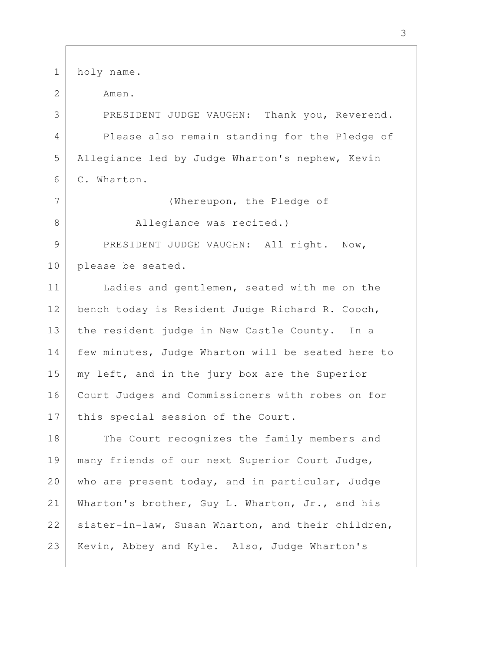holy name. Amen. PRESIDENT JUDGE VAUGHN: Thank you, Reverend. Please also remain standing for the Pledge of Allegiance led by Judge Wharton's nephew, Kevin C. Wharton. (Whereupon, the Pledge of Allegiance was recited.) PRESIDENT JUDGE VAUGHN: All right. Now, please be seated. Ladies and gentlemen, seated with me on the bench today is Resident Judge Richard R. Cooch, the resident judge in New Castle County. In a few minutes, Judge Wharton will be seated here to my left, and in the jury box are the Superior Court Judges and Commissioners with robes on for this special session of the Court. The Court recognizes the family members and many friends of our next Superior Court Judge, who are present today, and in particular, Judge Wharton's brother, Guy L. Wharton, Jr., and his sister-in-law, Susan Wharton, and their children, Kevin, Abbey and Kyle. Also, Judge Wharton's 1 2 3 4 5 6 7 8 9 10 11 12 13 14 15 16 17 18 19 20 21 22 23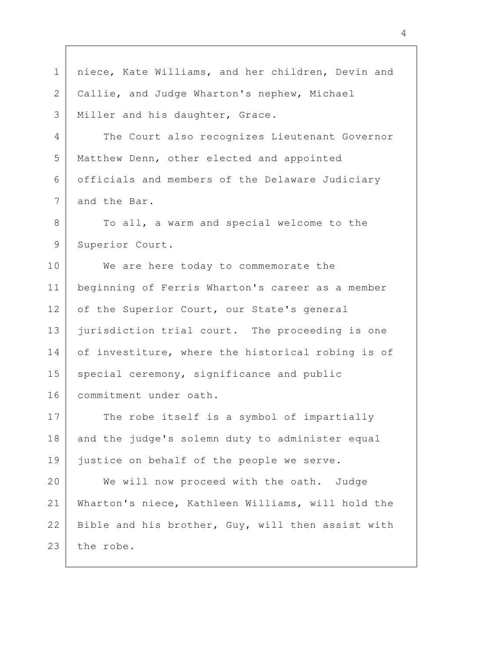| $\mathbf 1$    | niece, Kate Williams, and her children, Devin and |
|----------------|---------------------------------------------------|
| $\overline{2}$ | Callie, and Judge Wharton's nephew, Michael       |
| 3              | Miller and his daughter, Grace.                   |
| 4              | The Court also recognizes Lieutenant Governor     |
| 5              | Matthew Denn, other elected and appointed         |
| 6              | officials and members of the Delaware Judiciary   |
| $\overline{7}$ | and the Bar.                                      |
| 8              | To all, a warm and special welcome to the         |
| 9              | Superior Court.                                   |
| 10             | We are here today to commemorate the              |
| 11             | beginning of Ferris Wharton's career as a member  |
| 12             | of the Superior Court, our State's general        |
| 13             | jurisdiction trial court. The proceeding is one   |
| 14             | of investiture, where the historical robing is of |
| 15             | special ceremony, significance and public         |
| 16             | commitment under oath.                            |
| 17             | The robe itself is a symbol of impartially        |
| 18             | and the judge's solemn duty to administer equal   |
| 19             | justice on behalf of the people we serve.         |
| 20             | We will now proceed with the oath. Judge          |
| 21             | Wharton's niece, Kathleen Williams, will hold the |
| 22             | Bible and his brother, Guy, will then assist with |
| 23             | the robe.                                         |

 $\Gamma$ 

4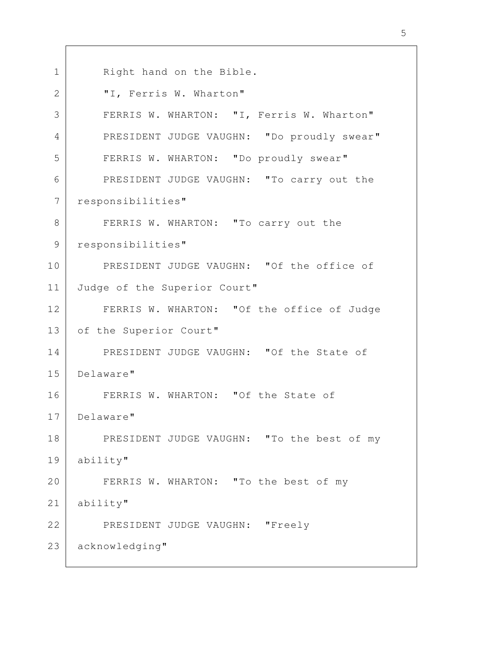Right hand on the Bible. "I, Ferris W. Wharton" FERRIS W. WHARTON: "I, Ferris W. Wharton" PRESIDENT JUDGE VAUGHN: "Do proudly swear" FERRIS W. WHARTON: "Do proudly swear" PRESIDENT JUDGE VAUGHN: "To carry out the responsibilities" FERRIS W. WHARTON: "To carry out the responsibilities" PRESIDENT JUDGE VAUGHN: "Of the office of Judge of the Superior Court" FERRIS W. WHARTON: "Of the office of Judge of the Superior Court" PRESIDENT JUDGE VAUGHN: "Of the State of Delaware" FERRIS W. WHARTON: "Of the State of Delaware" PRESIDENT JUDGE VAUGHN: "To the best of my ability" FERRIS W. WHARTON: "To the best of my ability" PRESIDENT JUDGE VAUGHN: "Freely acknowledging" 1 2 3 4 5 6 7 8 9 10 11 12 13 14 15 16 17 18 19  $20$ 21 22 23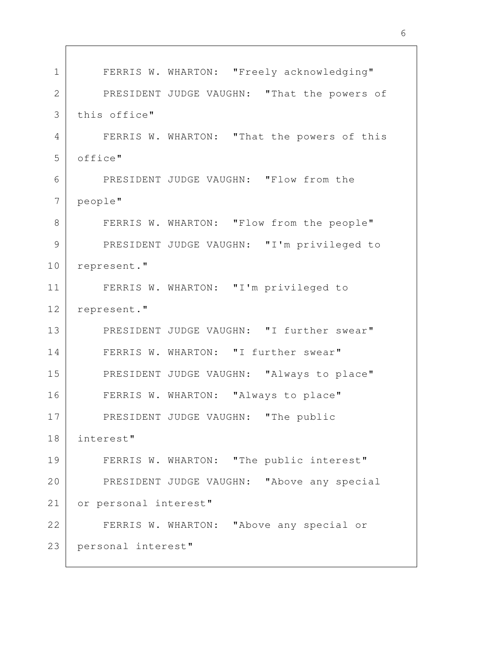FERRIS W. WHARTON: "Freely acknowledging" PRESIDENT JUDGE VAUGHN: "That the powers of this office" FERRIS W. WHARTON: "That the powers of this office" PRESIDENT JUDGE VAUGHN: "Flow from the people" FERRIS W. WHARTON: "Flow from the people" PRESIDENT JUDGE VAUGHN: "I'm privileged to represent." FERRIS W. WHARTON: "I'm privileged to represent." PRESIDENT JUDGE VAUGHN: "I further swear" FERRIS W. WHARTON: "I further swear" PRESIDENT JUDGE VAUGHN: "Always to place" FERRIS W. WHARTON: "Always to place" PRESIDENT JUDGE VAUGHN: "The public interest" FERRIS W. WHARTON: "The public interest" PRESIDENT JUDGE VAUGHN: "Above any special or personal interest" FERRIS W. WHARTON: "Above any special or personal interest" 1 2 3 4 5 6 7 8 9 10 11 12 13 14 15 16 17 18 19 20 21 22 23

6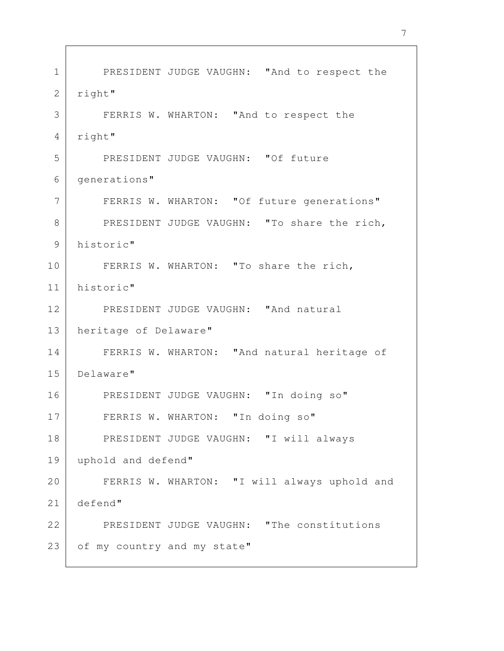PRESIDENT JUDGE VAUGHN: "And to respect the right" FERRIS W. WHARTON: "And to respect the right" PRESIDENT JUDGE VAUGHN: "Of future generations" FERRIS W. WHARTON: "Of future generations" PRESIDENT JUDGE VAUGHN: "To share the rich, historic" FERRIS W. WHARTON: "To share the rich, historic" PRESIDENT JUDGE VAUGHN: "And natural heritage of Delaware" FERRIS W. WHARTON: "And natural heritage of Delaware" PRESIDENT JUDGE VAUGHN: "In doing so" FERRIS W. WHARTON: "In doing so" PRESIDENT JUDGE VAUGHN: "I will always uphold and defend" FERRIS W. WHARTON: "I will always uphold and defend" PRESIDENT JUDGE VAUGHN: "The constitutions of my country and my state" 1 2 3 4 5 6 7 8 9 10 11 12 13 14 15 16 17 18 19 20 21 22 23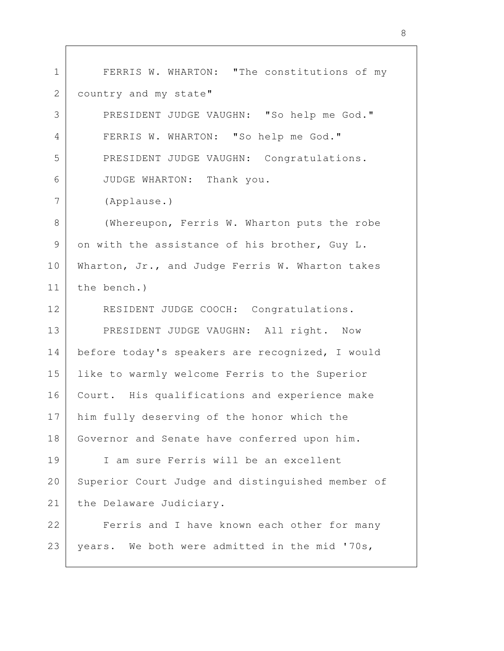FERRIS W. WHARTON: "The constitutions of my country and my state" PRESIDENT JUDGE VAUGHN: "So help me God." FERRIS W. WHARTON: "So help me God." PRESIDENT JUDGE VAUGHN: Congratulations. JUDGE WHARTON: Thank you. (Applause.) (Whereupon, Ferris W. Wharton puts the robe on with the assistance of his brother, Guy L. Wharton, Jr., and Judge Ferris W. Wharton takes the bench.) RESIDENT JUDGE COOCH: Congratulations. PRESIDENT JUDGE VAUGHN: All right. Now before today's speakers are recognized, I would like to warmly welcome Ferris to the Superior Court. His qualifications and experience make him fully deserving of the honor which the Governor and Senate have conferred upon him. I am sure Ferris will be an excellent Superior Court Judge and distinguished member of the Delaware Judiciary. Ferris and I have known each other for many years. We both were admitted in the mid '70s, 1 2 3 4 5 6 7 8 9 10 11 12 13 14 15 16 17 18 19 20 21 22 23

8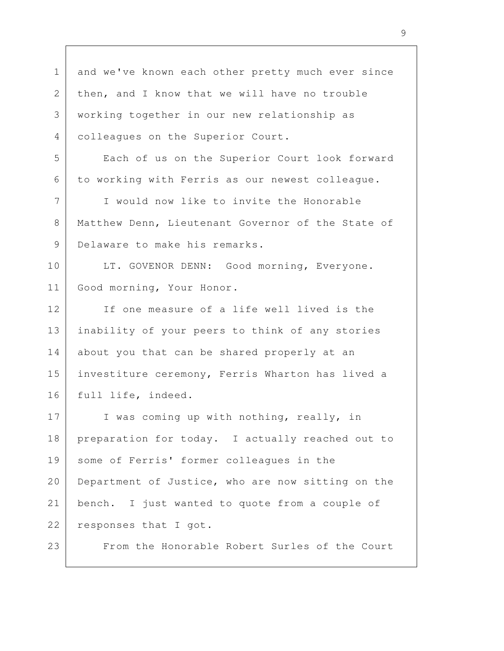and we've known each other pretty much ever since then, and I know that we will have no trouble working together in our new relationship as colleagues on the Superior Court. Each of us on the Superior Court look forward to working with Ferris as our newest colleague. I would now like to invite the Honorable Matthew Denn, Lieutenant Governor of the State of Delaware to make his remarks. LT. GOVENOR DENN: Good morning, Everyone. Good morning, Your Honor. If one measure of a life well lived is the inability of your peers to think of any stories about you that can be shared properly at an investiture ceremony, Ferris Wharton has lived a full life, indeed. I was coming up with nothing, really, in preparation for today. I actually reached out to some of Ferris' former colleagues in the Department of Justice, who are now sitting on the bench. I just wanted to quote from a couple of responses that I got. From the Honorable Robert Surles of the Court 1 2 3 4 5 6 7 8 9 10 11 12 13 14 15 16 17 18 19 20 21 22 23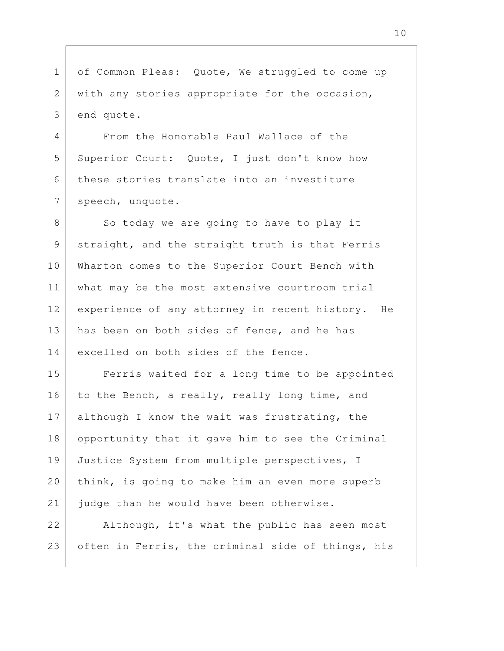of Common Pleas: Quote, We struggled to come up with any stories appropriate for the occasion, end quote. 1 2 3

From the Honorable Paul Wallace of the Superior Court: Quote, I just don't know how these stories translate into an investiture speech, unquote. 4 5 6 7

So today we are going to have to play it straight, and the straight truth is that Ferris Wharton comes to the Superior Court Bench with what may be the most extensive courtroom trial experience of any attorney in recent history. He has been on both sides of fence, and he has excelled on both sides of the fence. 8 9 10 11 12 13 14

Ferris waited for a long time to be appointed to the Bench, a really, really long time, and although I know the wait was frustrating, the opportunity that it gave him to see the Criminal Justice System from multiple perspectives, I think, is going to make him an even more superb judge than he would have been otherwise. 15 16 17 18 19 20 21

Although, it's what the public has seen most often in Ferris, the criminal side of things, his 22 23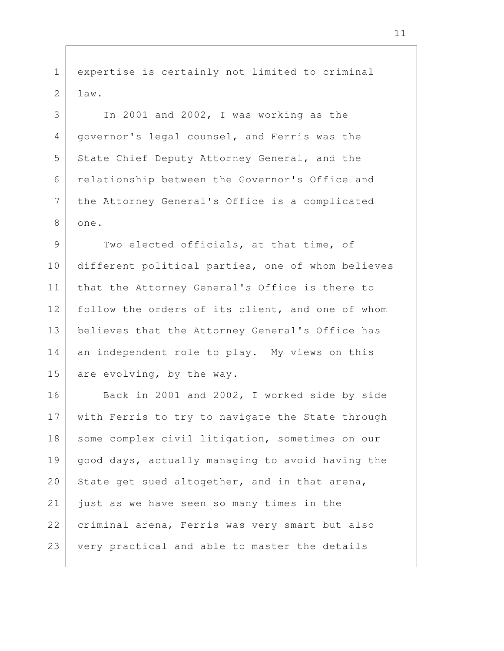expertise is certainly not limited to criminal law.

1

2

3

4

5

6

7

8

In 2001 and 2002, I was working as the governor's legal counsel, and Ferris was the State Chief Deputy Attorney General, and the relationship between the Governor's Office and the Attorney General's Office is a complicated one.

Two elected officials, at that time, of different political parties, one of whom believes that the Attorney General's Office is there to follow the orders of its client, and one of whom believes that the Attorney General's Office has an independent role to play. My views on this are evolving, by the way. 9 10 11 12 13 14 15

Back in 2001 and 2002, I worked side by side with Ferris to try to navigate the State through some complex civil litigation, sometimes on our good days, actually managing to avoid having the State get sued altogether, and in that arena, just as we have seen so many times in the criminal arena, Ferris was very smart but also very practical and able to master the details 16 17 18 19 20 21 22 23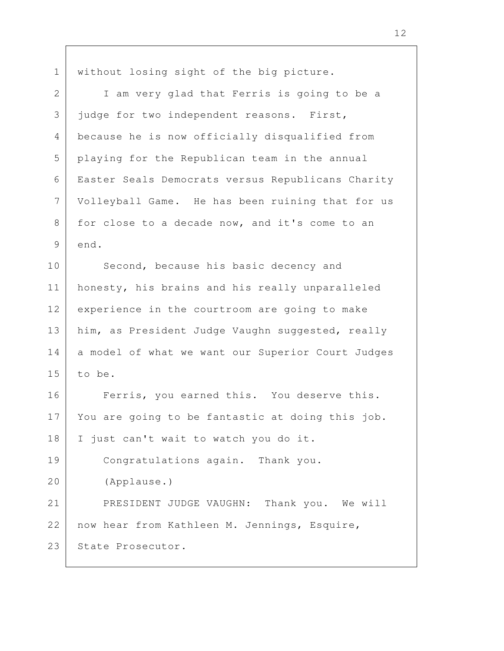without losing sight of the big picture. I am very glad that Ferris is going to be a judge for two independent reasons. First, because he is now officially disqualified from playing for the Republican team in the annual Easter Seals Democrats versus Republicans Charity Volleyball Game. He has been ruining that for us for close to a decade now, and it's come to an end. Second, because his basic decency and honesty, his brains and his really unparalleled experience in the courtroom are going to make him, as President Judge Vaughn suggested, really a model of what we want our Superior Court Judges to be. Ferris, you earned this. You deserve this. You are going to be fantastic at doing this job. I just can't wait to watch you do it. Congratulations again. Thank you. (Applause.) PRESIDENT JUDGE VAUGHN: Thank you. We will now hear from Kathleen M. Jennings, Esquire, State Prosecutor. 1 2 3 4 5 6 7 8 9 10 11 12 13 14 15 16 17 18 19 20 21 22 23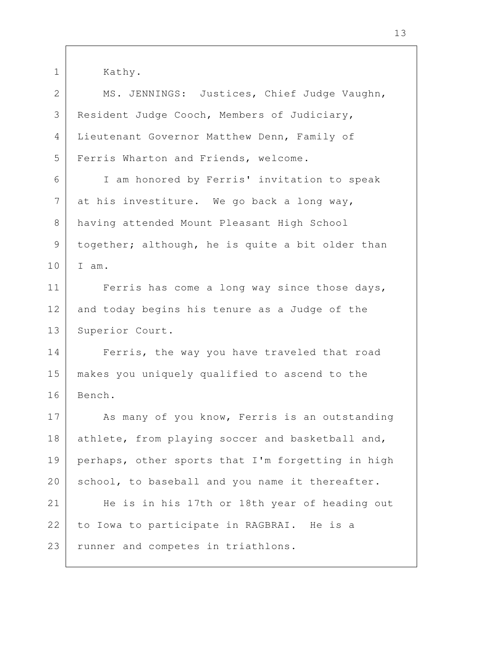Kathy. MS. JENNINGS: Justices, Chief Judge Vaughn, Resident Judge Cooch, Members of Judiciary, Lieutenant Governor Matthew Denn, Family of Ferris Wharton and Friends, welcome. I am honored by Ferris' invitation to speak at his investiture. We go back a long way, having attended Mount Pleasant High School together; although, he is quite a bit older than I am. Ferris has come a long way since those days, and today begins his tenure as a Judge of the Superior Court. Ferris, the way you have traveled that road makes you uniquely qualified to ascend to the Bench. As many of you know, Ferris is an outstanding athlete, from playing soccer and basketball and, perhaps, other sports that I'm forgetting in high school, to baseball and you name it thereafter. He is in his 17th or 18th year of heading out to Iowa to participate in RAGBRAI. He is a runner and competes in triathlons. 1 2 3 4 5 6 7 8 9 10 11 12 13 14 15 16 17 18 19 20 21 22 23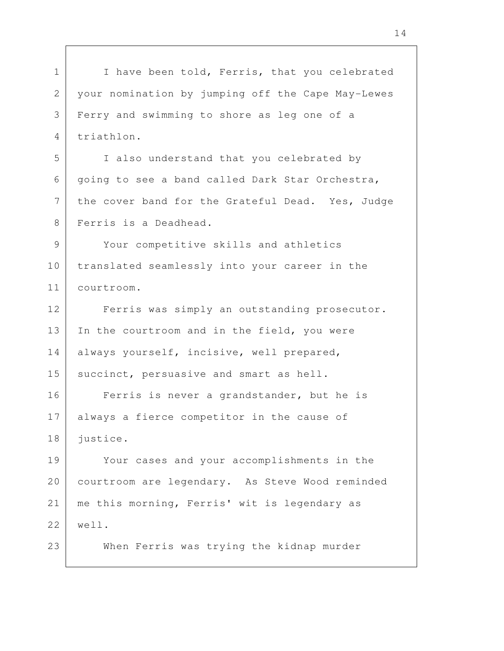I have been told, Ferris, that you celebrated your nomination by jumping off the Cape May-Lewes Ferry and swimming to shore as leg one of a triathlon. I also understand that you celebrated by going to see a band called Dark Star Orchestra, the cover band for the Grateful Dead. Yes, Judge Ferris is a Deadhead. Your competitive skills and athletics translated seamlessly into your career in the courtroom. Ferris was simply an outstanding prosecutor. In the courtroom and in the field, you were always yourself, incisive, well prepared, succinct, persuasive and smart as hell. Ferris is never a grandstander, but he is always a fierce competitor in the cause of justice. Your cases and your accomplishments in the courtroom are legendary. As Steve Wood reminded me this morning, Ferris' wit is legendary as well. When Ferris was trying the kidnap murder 1 2 3 4 5 6 7 8 9 10 11 12 13 14 15 16 17 18 19 20 21 22 23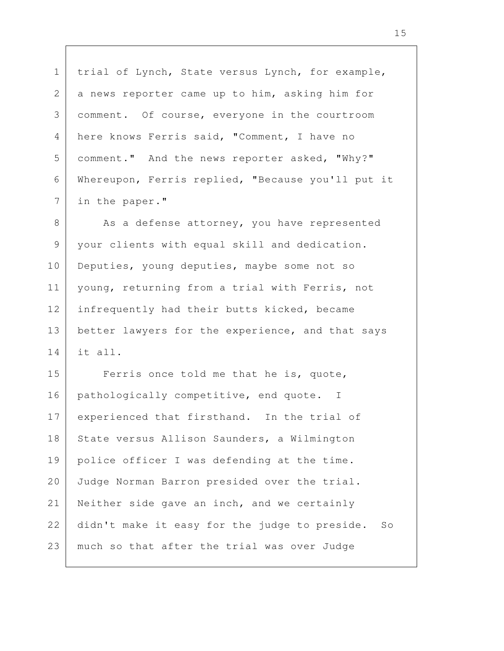trial of Lynch, State versus Lynch, for example, a news reporter came up to him, asking him for comment. Of course, everyone in the courtroom here knows Ferris said, "Comment, I have no comment." And the news reporter asked, "Why?" Whereupon, Ferris replied, "Because you'll put it in the paper."

1

2

3

4

5

6

7

As a defense attorney, you have represented your clients with equal skill and dedication. Deputies, young deputies, maybe some not so young, returning from a trial with Ferris, not infrequently had their butts kicked, became better lawyers for the experience, and that says it all. 8 9 10 11 12 13 14

Ferris once told me that he is, quote, pathologically competitive, end quote. I experienced that firsthand. In the trial of State versus Allison Saunders, a Wilmington police officer I was defending at the time. Judge Norman Barron presided over the trial. Neither side gave an inch, and we certainly didn't make it easy for the judge to preside. So much so that after the trial was over Judge 15 16 17 18 19 20 21 22 23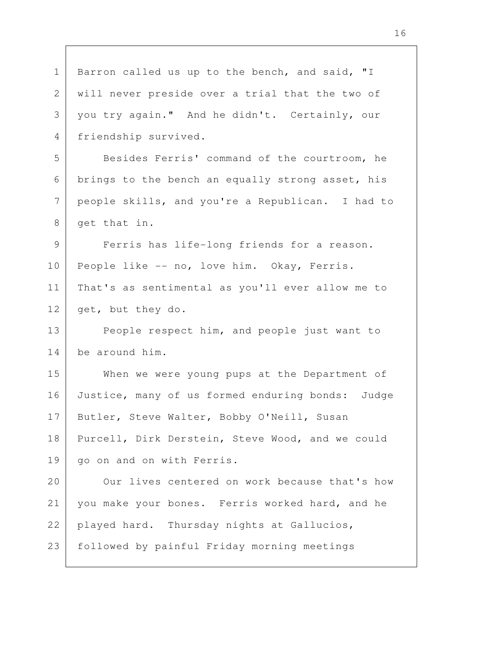Barron called us up to the bench, and said, "I will never preside over a trial that the two of you try again." And he didn't. Certainly, our friendship survived. Besides Ferris' command of the courtroom, he brings to the bench an equally strong asset, his people skills, and you're a Republican. I had to get that in. Ferris has life-long friends for a reason. People like -- no, love him. Okay, Ferris. That's as sentimental as you'll ever allow me to get, but they do. People respect him, and people just want to be around him. When we were young pups at the Department of Justice, many of us formed enduring bonds: Judge Butler, Steve Walter, Bobby O'Neill, Susan Purcell, Dirk Derstein, Steve Wood, and we could go on and on with Ferris. Our lives centered on work because that's how you make your bones. Ferris worked hard, and he played hard. Thursday nights at Gallucios, followed by painful Friday morning meetings 1 2 3 4 5 6 7 8 9 10 11 12 13 14 15 16 17 18 19 20 21 22 23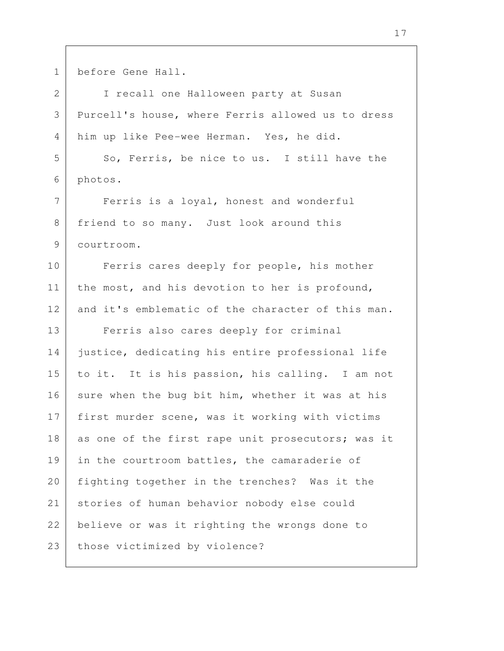| $\mathbf 1$   | before Gene Hall.                                 |
|---------------|---------------------------------------------------|
| 2             | I recall one Halloween party at Susan             |
| 3             | Purcell's house, where Ferris allowed us to dress |
| 4             | him up like Pee-wee Herman. Yes, he did.          |
| 5             | So, Ferris, be nice to us. I still have the       |
| 6             | photos.                                           |
| 7             | Ferris is a loyal, honest and wonderful           |
| 8             | friend to so many. Just look around this          |
| $\mathcal{G}$ | courtroom.                                        |
| 10            | Ferris cares deeply for people, his mother        |
| 11            | the most, and his devotion to her is profound,    |
| 12            | and it's emblematic of the character of this man. |
| 13            | Ferris also cares deeply for criminal             |
| 14            | justice, dedicating his entire professional life  |
| 15            | to it. It is his passion, his calling. I am not   |
| 16            | sure when the bug bit him, whether it was at his  |
| 17            | first murder scene, was it working with victims   |
| 18            | as one of the first rape unit prosecutors; was it |
| 19            | in the courtroom battles, the camaraderie of      |
| 20            | fighting together in the trenches? Was it the     |
| 21            | stories of human behavior nobody else could       |
| 22            | believe or was it righting the wrongs done to     |
| 23            | those victimized by violence?                     |
|               |                                                   |

Г

 $\overline{\phantom{a}}$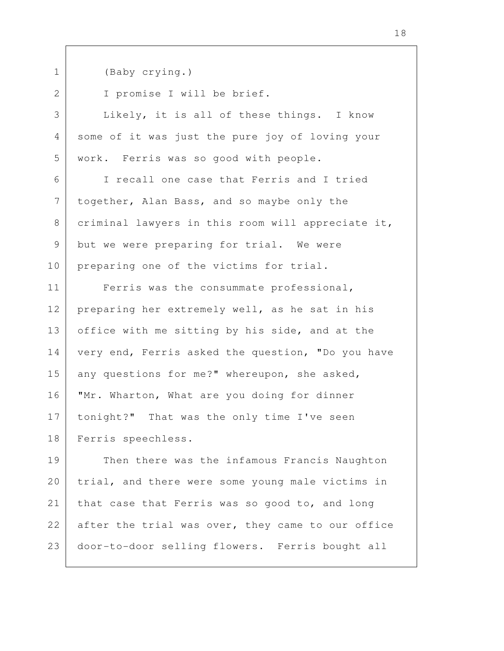1

(Baby crying.)

I promise I will be brief.

Likely, it is all of these things. I know some of it was just the pure joy of loving your work. Ferris was so good with people.

I recall one case that Ferris and I tried together, Alan Bass, and so maybe only the criminal lawyers in this room will appreciate it, but we were preparing for trial. We were preparing one of the victims for trial.

Ferris was the consummate professional, preparing her extremely well, as he sat in his office with me sitting by his side, and at the very end, Ferris asked the question, "Do you have any questions for me?" whereupon, she asked, "Mr. Wharton, What are you doing for dinner tonight?" That was the only time I've seen Ferris speechless.

Then there was the infamous Francis Naughton trial, and there were some young male victims in that case that Ferris was so good to, and long after the trial was over, they came to our office door-to-door selling flowers. Ferris bought all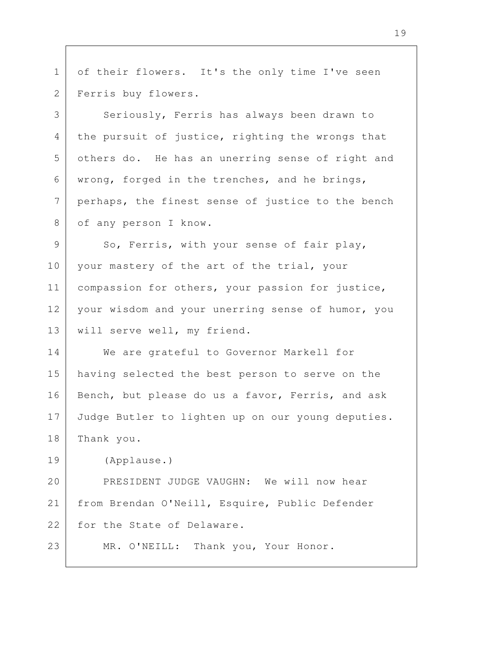| $\mathbf{1}$ | of their flowers. It's the only time I've seen    |
|--------------|---------------------------------------------------|
| 2            | Ferris buy flowers.                               |
| 3            | Seriously, Ferris has always been drawn to        |
| 4            | the pursuit of justice, righting the wrongs that  |
| 5            | others do. He has an unerring sense of right and  |
| 6            | wrong, forged in the trenches, and he brings,     |
| 7            | perhaps, the finest sense of justice to the bench |
| 8            | of any person I know.                             |
| 9            | So, Ferris, with your sense of fair play,         |
| 10           | your mastery of the art of the trial, your        |
| 11           | compassion for others, your passion for justice,  |
| 12           | your wisdom and your unerring sense of humor, you |
| 13           | will serve well, my friend.                       |
| 14           | We are grateful to Governor Markell for           |
| 15           | having selected the best person to serve on the   |
| 16           | Bench, but please do us a favor, Ferris, and ask  |
| 17           | Judge Butler to lighten up on our young deputies. |
| 18           | Thank you.                                        |
| 19           | (Applause.)                                       |
| 20           | PRESIDENT JUDGE VAUGHN: We will now hear          |
| 21           | from Brendan O'Neill, Esquire, Public Defender    |
| 22           | for the State of Delaware.                        |
| 23           | Thank you, Your Honor.<br>MR. O'NEILL:            |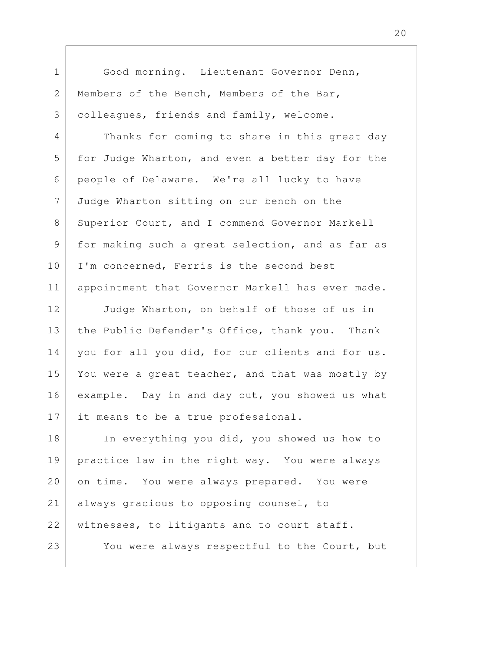Good morning. Lieutenant Governor Denn, Members of the Bench, Members of the Bar, colleagues, friends and family, welcome. Thanks for coming to share in this great day for Judge Wharton, and even a better day for the people of Delaware. We're all lucky to have Judge Wharton sitting on our bench on the Superior Court, and I commend Governor Markell for making such a great selection, and as far as I'm concerned, Ferris is the second best appointment that Governor Markell has ever made. Judge Wharton, on behalf of those of us in the Public Defender's Office, thank you. Thank you for all you did, for our clients and for us. You were a great teacher, and that was mostly by example. Day in and day out, you showed us what it means to be a true professional. In everything you did, you showed us how to practice law in the right way. You were always on time. You were always prepared. You were always gracious to opposing counsel, to witnesses, to litigants and to court staff. You were always respectful to the Court, but 1 2 3 4 5 6 7 8 9 10 11 12 13 14 15 16 17 18 19 20 21 22 23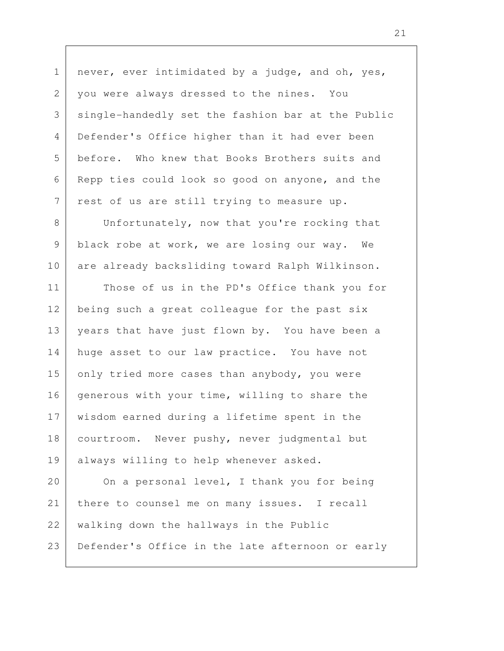never, ever intimidated by a judge, and oh, yes, you were always dressed to the nines. You single-handedly set the fashion bar at the Public Defender's Office higher than it had ever been before. Who knew that Books Brothers suits and Repp ties could look so good on anyone, and the rest of us are still trying to measure up. Unfortunately, now that you're rocking that black robe at work, we are losing our way. We are already backsliding toward Ralph Wilkinson. Those of us in the PD's Office thank you for being such a great colleague for the past six years that have just flown by. You have been a huge asset to our law practice. You have not only tried more cases than anybody, you were generous with your time, willing to share the wisdom earned during a lifetime spent in the courtroom. Never pushy, never judgmental but always willing to help whenever asked. On a personal level, I thank you for being there to counsel me on many issues. I recall walking down the hallways in the Public Defender's Office in the late afternoon or early 1 2 3 4 5 6 7 8 9 10 11 12 13 14 15 16 17 18 19 20 21 22 23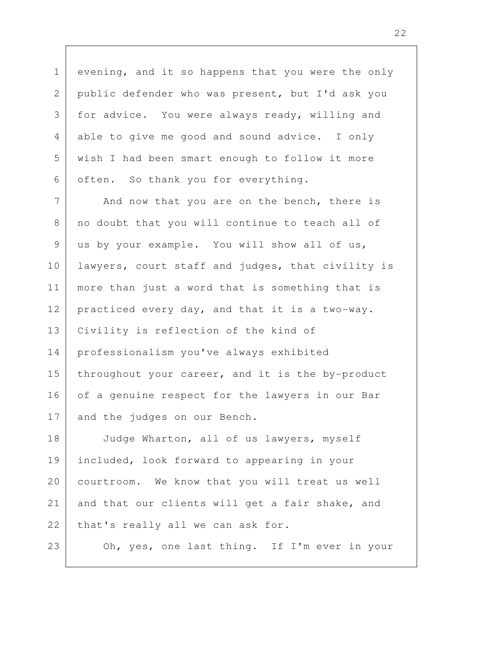evening, and it so happens that you were the only public defender who was present, but I'd ask you for advice. You were always ready, willing and able to give me good and sound advice. I only wish I had been smart enough to follow it more often. So thank you for everything. And now that you are on the bench, there is 1 2 3 4 5 6 7

no doubt that you will continue to teach all of us by your example. You will show all of us, lawyers, court staff and judges, that civility is more than just a word that is something that is practiced every day, and that it is a two-way. Civility is reflection of the kind of professionalism you've always exhibited throughout your career, and it is the by-product of a genuine respect for the lawyers in our Bar and the judges on our Bench. 8 9 10 11 12 13 14 15 16 17

Judge Wharton, all of us lawyers, myself included, look forward to appearing in your courtroom. We know that you will treat us well and that our clients will get a fair shake, and that's really all we can ask for. 18 19 20 21 22

23

Oh, yes, one last thing. If I'm ever in your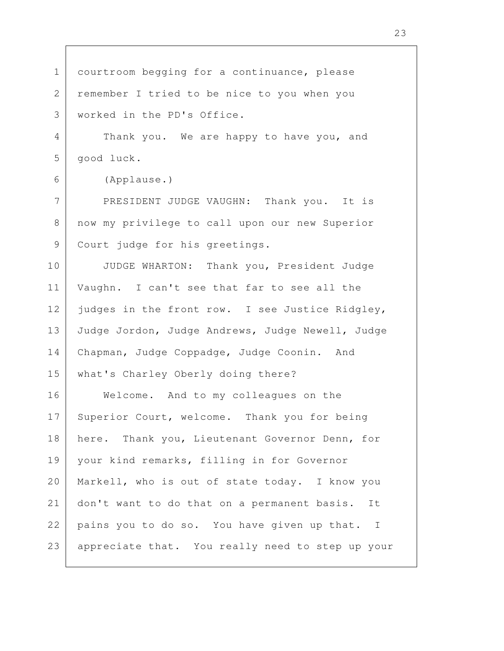courtroom begging for a continuance, please remember I tried to be nice to you when you worked in the PD's Office. Thank you. We are happy to have you, and good luck. (Applause.) PRESIDENT JUDGE VAUGHN: Thank you. It is now my privilege to call upon our new Superior Court judge for his greetings. JUDGE WHARTON: Thank you, President Judge Vaughn. I can't see that far to see all the judges in the front row. I see Justice Ridgley, Judge Jordon, Judge Andrews, Judge Newell, Judge Chapman, Judge Coppadge, Judge Coonin. And what's Charley Oberly doing there? Welcome. And to my colleagues on the Superior Court, welcome. Thank you for being here. Thank you, Lieutenant Governor Denn, for your kind remarks, filling in for Governor Markell, who is out of state today. I know you don't want to do that on a permanent basis. It pains you to do so. You have given up that. I appreciate that. You really need to step up your 1 2 3 4 5 6 7 8 9 10 11 12 13 14 15 16 17 18 19 20 21 22 23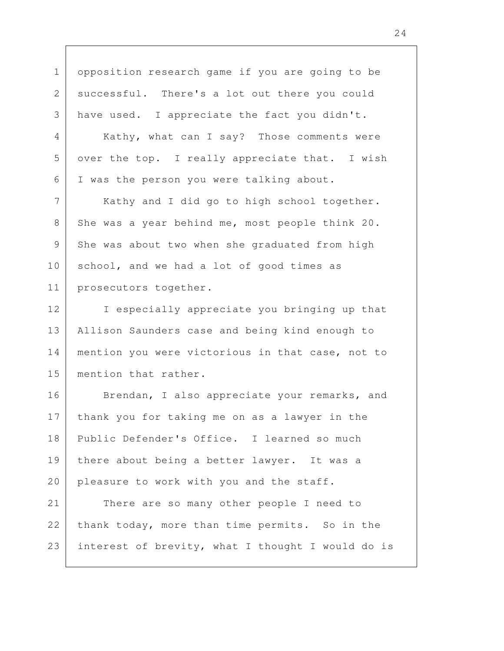opposition research game if you are going to be successful. There's a lot out there you could have used. I appreciate the fact you didn't. Kathy, what can I say? Those comments were over the top. I really appreciate that. I wish I was the person you were talking about. Kathy and I did go to high school together. She was a year behind me, most people think 20. She was about two when she graduated from high school, and we had a lot of good times as prosecutors together. I especially appreciate you bringing up that Allison Saunders case and being kind enough to mention you were victorious in that case, not to mention that rather. Brendan, I also appreciate your remarks, and thank you for taking me on as a lawyer in the Public Defender's Office. I learned so much there about being a better lawyer. It was a pleasure to work with you and the staff. There are so many other people I need to thank today, more than time permits. So in the interest of brevity, what I thought I would do is 1 2 3 4 5 6 7 8 9 10 11 12 13 14 15 16 17 18 19 20 21 22 23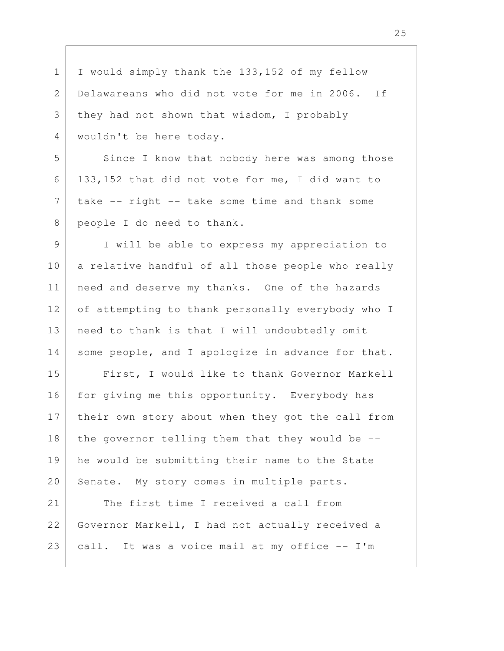I would simply thank the 133,152 of my fellow Delawareans who did not vote for me in 2006. If they had not shown that wisdom, I probably wouldn't be here today. Since I know that nobody here was among those 133,152 that did not vote for me, I did want to take -- right -- take some time and thank some people I do need to thank. I will be able to express my appreciation to a relative handful of all those people who really need and deserve my thanks. One of the hazards of attempting to thank personally everybody who I need to thank is that I will undoubtedly omit some people, and I apologize in advance for that. First, I would like to thank Governor Markell for giving me this opportunity. Everybody has their own story about when they got the call from the governor telling them that they would be - he would be submitting their name to the State Senate. My story comes in multiple parts. The first time I received a call from Governor Markell, I had not actually received a call. It was a voice mail at my office -- I'm 1 2 3 4 5 6 7 8 9 10 11 12 13 14 15 16 17 18 19 20 21 22 23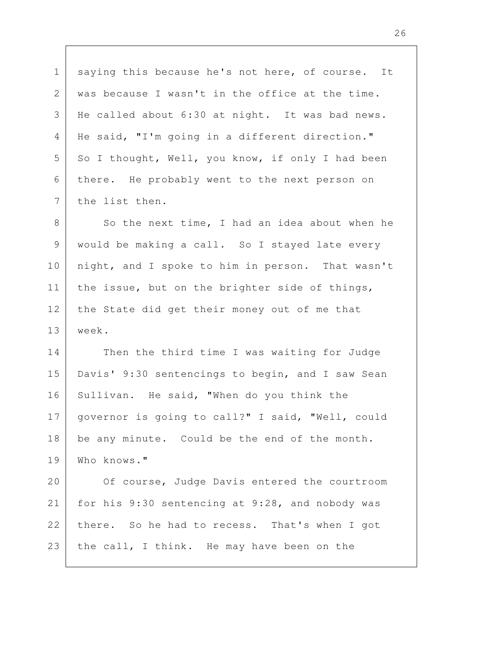saying this because he's not here, of course. It was because I wasn't in the office at the time. He called about 6:30 at night. It was bad news. He said, "I'm going in a different direction." So I thought, Well, you know, if only I had been there. He probably went to the next person on the list then. 1 2 3 4 5 6 7

So the next time, I had an idea about when he would be making a call. So I stayed late every night, and I spoke to him in person. That wasn't the issue, but on the brighter side of things, the State did get their money out of me that week. 8 9 10 11 12 13

Then the third time I was waiting for Judge Davis' 9:30 sentencings to begin, and I saw Sean Sullivan. He said, "When do you think the governor is going to call?" I said, "Well, could be any minute. Could be the end of the month. Who knows." 14 15 16 17 18 19

Of course, Judge Davis entered the courtroom for his 9:30 sentencing at 9:28, and nobody was there. So he had to recess. That's when I got the call, I think. He may have been on the 20 21 22 23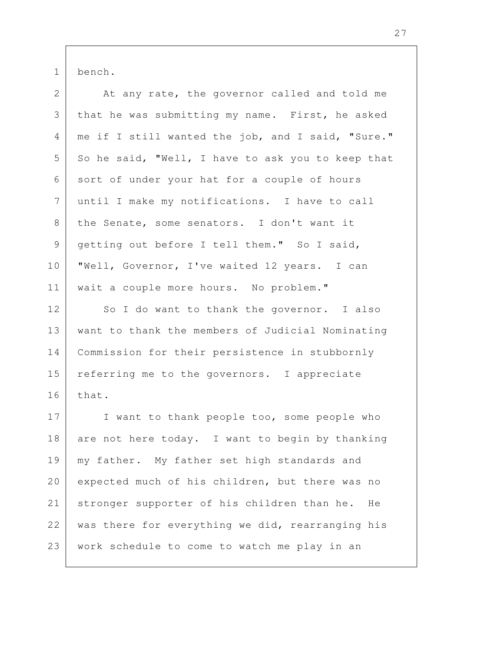bench. 1

| $\overline{2}$ | At any rate, the governor called and told me      |
|----------------|---------------------------------------------------|
| 3              | that he was submitting my name. First, he asked   |
| 4              | me if I still wanted the job, and I said, "Sure." |
| 5              | So he said, "Well, I have to ask you to keep that |
| 6              | sort of under your hat for a couple of hours      |
| 7              | until I make my notifications. I have to call     |
| 8              | the Senate, some senators. I don't want it        |
| 9              | getting out before I tell them." So I said,       |
| 10             | "Well, Governor, I've waited 12 years. I can      |
| 11             | wait a couple more hours. No problem."            |
| 12             | So I do want to thank the governor. I also        |
| 13             | want to thank the members of Judicial Nominating  |
| 14             | Commission for their persistence in stubbornly    |
| 15             | referring me to the governors. I appreciate       |
| 16             | that.                                             |
| 17             | I want to thank people too, some people who       |
| 18             | are not here today. I want to begin by thanking   |
| 19             | my father. My father set high standards and       |
| 20             | expected much of his children, but there was no   |
| 21             | stronger supporter of his children than he.<br>He |
| 22             | was there for everything we did, rearranging his  |
| 23             | work schedule to come to watch me play in an      |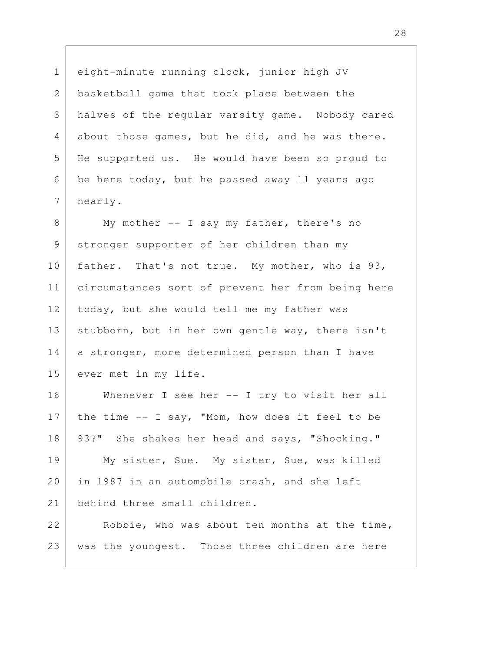2

3

4

5

6

7

1

eight-minute running clock, junior high JV basketball game that took place between the halves of the regular varsity game. Nobody cared about those games, but he did, and he was there. He supported us. He would have been so proud to be here today, but he passed away 11 years ago nearly.

My mother -- I say my father, there's no stronger supporter of her children than my father. That's not true. My mother, who is 93, circumstances sort of prevent her from being here today, but she would tell me my father was stubborn, but in her own gentle way, there isn't a stronger, more determined person than I have ever met in my life. 8 9 10 11 12 13 14 15

Whenever I see her -- I try to visit her all the time -- I say, "Mom, how does it feel to be 93?" She shakes her head and says, "Shocking." 16 17 18

My sister, Sue. My sister, Sue, was killed in 1987 in an automobile crash, and she left behind three small children. 19 20 21

Robbie, who was about ten months at the time, was the youngest. Those three children are here 22 23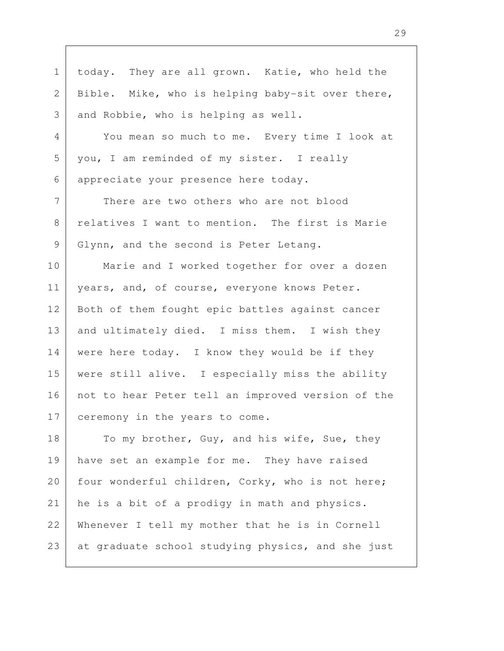today. They are all grown. Katie, who held the Bible. Mike, who is helping baby-sit over there, and Robbie, who is helping as well. You mean so much to me. Every time I look at you, I am reminded of my sister. I really appreciate your presence here today. There are two others who are not blood relatives I want to mention. The first is Marie Glynn, and the second is Peter Letang. Marie and I worked together for over a dozen years, and, of course, everyone knows Peter. Both of them fought epic battles against cancer and ultimately died. I miss them. I wish they were here today. I know they would be if they were still alive. I especially miss the ability not to hear Peter tell an improved version of the ceremony in the years to come. To my brother, Guy, and his wife, Sue, they have set an example for me. They have raised four wonderful children, Corky, who is not here; he is a bit of a prodigy in math and physics. Whenever I tell my mother that he is in Cornell at graduate school studying physics, and she just 1 2 3 4 5 6 7 8 9 10 11 12 13 14 15 16 17 18 19 20 21 22 23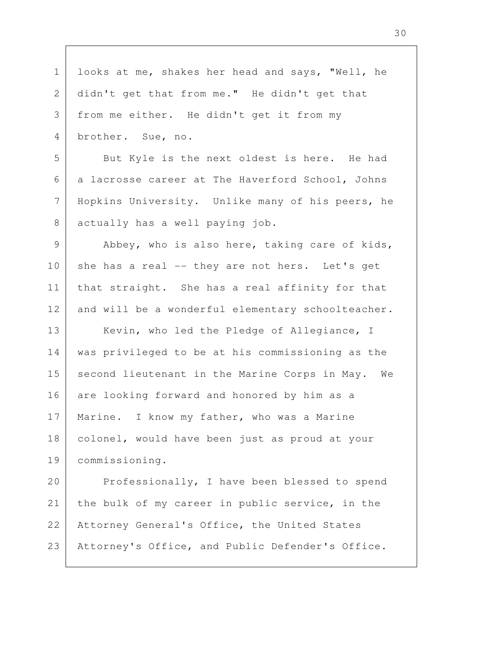looks at me, shakes her head and says, "Well, he didn't get that from me." He didn't get that from me either. He didn't get it from my brother. Sue, no. But Kyle is the next oldest is here. He had a lacrosse career at The Haverford School, Johns Hopkins University. Unlike many of his peers, he actually has a well paying job. Abbey, who is also here, taking care of kids, she has a real -- they are not hers. Let's get that straight. She has a real affinity for that and will be a wonderful elementary schoolteacher. Kevin, who led the Pledge of Allegiance, I was privileged to be at his commissioning as the second lieutenant in the Marine Corps in May. We are looking forward and honored by him as a Marine. I know my father, who was a Marine colonel, would have been just as proud at your commissioning. Professionally, I have been blessed to spend the bulk of my career in public service, in the Attorney General's Office, the United States Attorney's Office, and Public Defender's Office. 1 2 3 4 5 6 7 8 9 10 11 12 13 14 15 16 17 18 19 20 21 22 23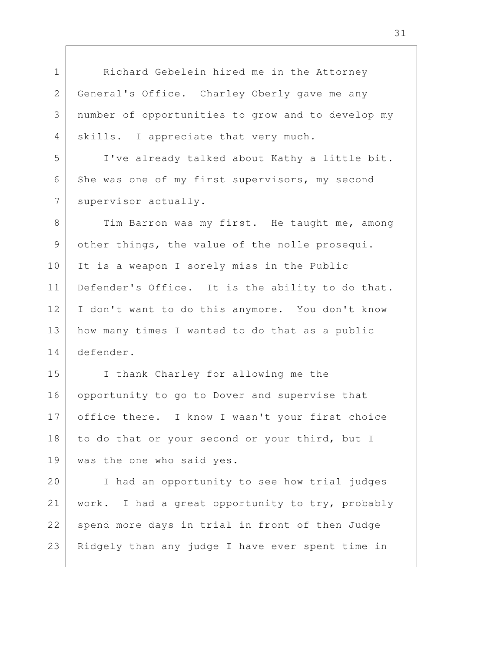Richard Gebelein hired me in the Attorney General's Office. Charley Oberly gave me any number of opportunities to grow and to develop my skills. I appreciate that very much.

1

2

3

4

5

6

7

9

I've already talked about Kathy a little bit. She was one of my first supervisors, my second supervisor actually.

Tim Barron was my first. He taught me, among other things, the value of the nolle prosequi. It is a weapon I sorely miss in the Public Defender's Office. It is the ability to do that. I don't want to do this anymore. You don't know how many times I wanted to do that as a public defender. 8 10 11 12 13 14

I thank Charley for allowing me the opportunity to go to Dover and supervise that office there. I know I wasn't your first choice to do that or your second or your third, but I was the one who said yes. 15 16 17 18 19

I had an opportunity to see how trial judges work. I had a great opportunity to try, probably spend more days in trial in front of then Judge Ridgely than any judge I have ever spent time in 20 21 22 23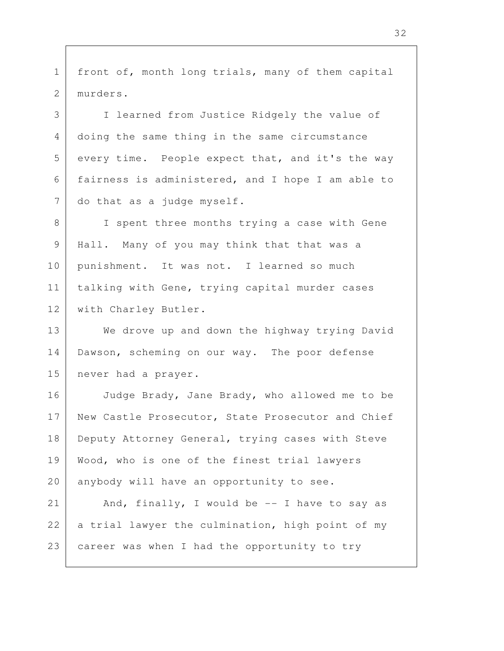front of, month long trials, many of them capital murders. 1 2

3

4

5

6

7

I learned from Justice Ridgely the value of doing the same thing in the same circumstance every time. People expect that, and it's the way fairness is administered, and I hope I am able to do that as a judge myself.

I spent three months trying a case with Gene Hall. Many of you may think that that was a punishment. It was not. I learned so much talking with Gene, trying capital murder cases with Charley Butler. 8 9 10 11 12

We drove up and down the highway trying David Dawson, scheming on our way. The poor defense never had a prayer. 13 14 15

Judge Brady, Jane Brady, who allowed me to be New Castle Prosecutor, State Prosecutor and Chief Deputy Attorney General, trying cases with Steve Wood, who is one of the finest trial lawyers anybody will have an opportunity to see. 16 17 18 19 20

And, finally, I would be  $-$ - I have to say as a trial lawyer the culmination, high point of my career was when I had the opportunity to try 21 22 23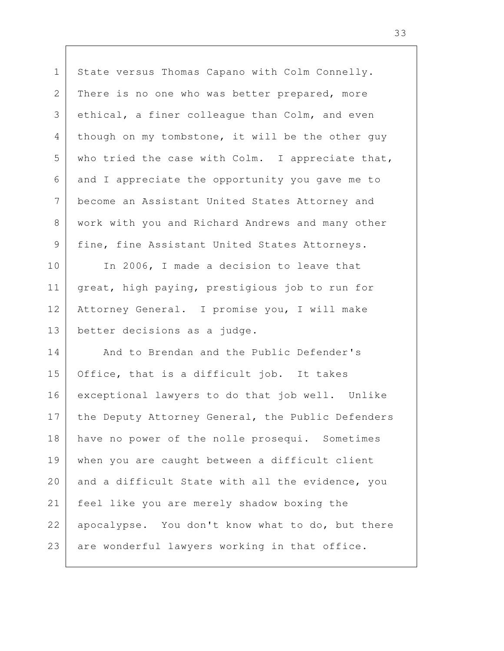State versus Thomas Capano with Colm Connelly. There is no one who was better prepared, more ethical, a finer colleague than Colm, and even though on my tombstone, it will be the other guy who tried the case with Colm. I appreciate that, and I appreciate the opportunity you gave me to become an Assistant United States Attorney and work with you and Richard Andrews and many other fine, fine Assistant United States Attorneys. In 2006, I made a decision to leave that great, high paying, prestigious job to run for Attorney General. I promise you, I will make better decisions as a judge. And to Brendan and the Public Defender's Office, that is a difficult job. It takes exceptional lawyers to do that job well. Unlike the Deputy Attorney General, the Public Defenders have no power of the nolle prosequi. Sometimes when you are caught between a difficult client and a difficult State with all the evidence, you feel like you are merely shadow boxing the apocalypse. You don't know what to do, but there are wonderful lawyers working in that office. 1 2 3 4 5 6 7 8 9 10 11 12 13 14 15 16 17 18 19 20 21 22 23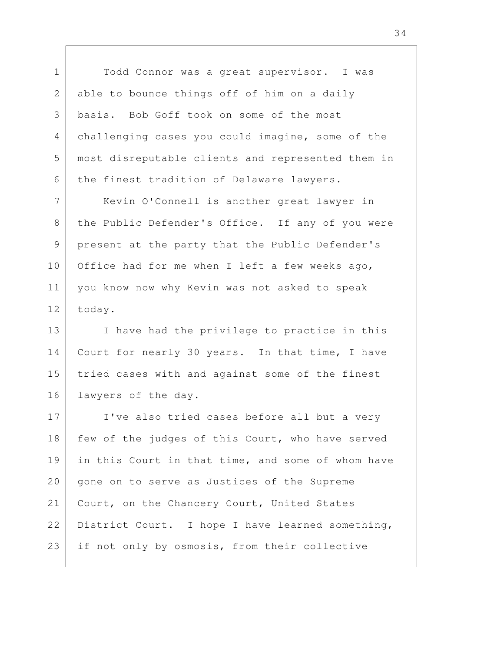Todd Connor was a great supervisor. I was able to bounce things off of him on a daily basis. Bob Goff took on some of the most challenging cases you could imagine, some of the most disreputable clients and represented them in the finest tradition of Delaware lawyers.

1

2

3

4

5

6

8

9

11

Kevin O'Connell is another great lawyer in the Public Defender's Office. If any of you were present at the party that the Public Defender's Office had for me when I left a few weeks ago, you know now why Kevin was not asked to speak today. 7 10 12

I have had the privilege to practice in this Court for nearly 30 years. In that time, I have tried cases with and against some of the finest lawyers of the day. 13 14 15 16

I've also tried cases before all but a very few of the judges of this Court, who have served in this Court in that time, and some of whom have gone on to serve as Justices of the Supreme Court, on the Chancery Court, United States District Court. I hope I have learned something, if not only by osmosis, from their collective 17 18 19 20 21 22 23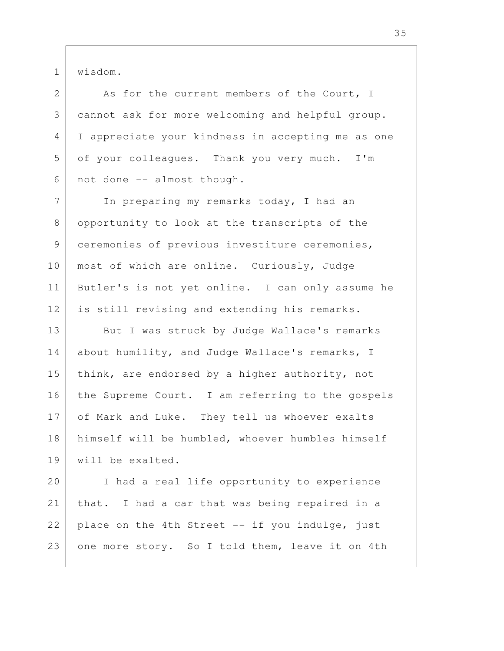wisdom.

1

2

3

4

5

6

8

9

As for the current members of the Court, I cannot ask for more welcoming and helpful group. I appreciate your kindness in accepting me as one of your colleagues. Thank you very much. I'm not done -- almost though.

In preparing my remarks today, I had an opportunity to look at the transcripts of the ceremonies of previous investiture ceremonies, most of which are online. Curiously, Judge Butler's is not yet online. I can only assume he is still revising and extending his remarks. 7 10 11 12

But I was struck by Judge Wallace's remarks about humility, and Judge Wallace's remarks, I think, are endorsed by a higher authority, not the Supreme Court. I am referring to the gospels of Mark and Luke. They tell us whoever exalts himself will be humbled, whoever humbles himself will be exalted. 13 14 15 16 17 18 19

I had a real life opportunity to experience that. I had a car that was being repaired in a place on the 4th Street -- if you indulge, just one more story. So I told them, leave it on 4th 20 21 22 23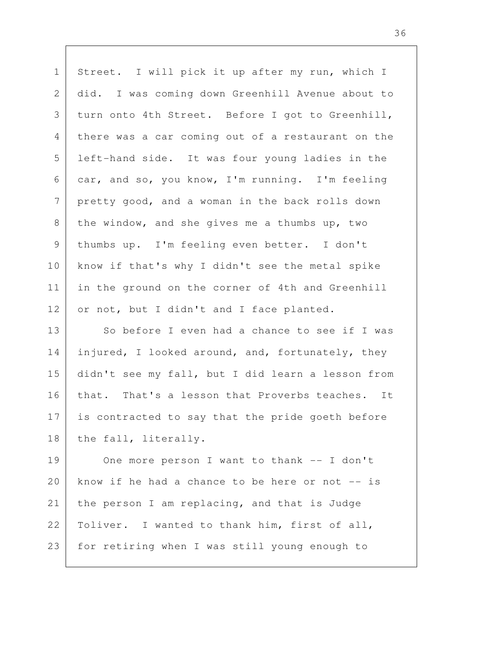| Street. I will pick it up after my run, which I   |
|---------------------------------------------------|
| did. I was coming down Greenhill Avenue about to  |
| turn onto 4th Street. Before I got to Greenhill,  |
| there was a car coming out of a restaurant on the |
| left-hand side. It was four young ladies in the   |
| car, and so, you know, I'm running. I'm feeling   |
| pretty good, and a woman in the back rolls down   |
| the window, and she gives me a thumbs up, two     |
| thumbs up. I'm feeling even better. I don't       |
| know if that's why I didn't see the metal spike   |
| in the ground on the corner of 4th and Greenhill  |
| or not, but I didn't and I face planted.          |
| So before I even had a chance to see if I was     |
| injured, I looked around, and, fortunately, they  |
| didn't see my fall, but I did learn a lesson from |
| that. That's a lesson that Proverbs teaches. It   |
| is contracted to say that the pride goeth before  |
| the fall, literally.                              |
| One more person I want to thank -- I don't        |
| know if he had a chance to be here or not -- is   |
| the person I am replacing, and that is Judge      |
| Toliver. I wanted to thank him, first of all,     |
| for retiring when I was still young enough to     |
|                                                   |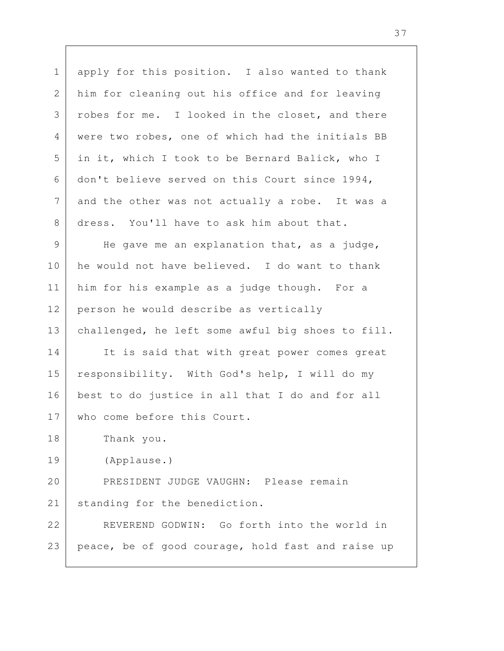apply for this position. I also wanted to thank him for cleaning out his office and for leaving robes for me. I looked in the closet, and there were two robes, one of which had the initials BB in it, which I took to be Bernard Balick, who I don't believe served on this Court since 1994, and the other was not actually a robe. It was a dress. You'll have to ask him about that. He gave me an explanation that, as a judge, he would not have believed. I do want to thank him for his example as a judge though. For a person he would describe as vertically challenged, he left some awful big shoes to fill. It is said that with great power comes great responsibility. With God's help, I will do my best to do justice in all that I do and for all who come before this Court. Thank you. (Applause.) PRESIDENT JUDGE VAUGHN: Please remain standing for the benediction. REVEREND GODWIN: Go forth into the world in peace, be of good courage, hold fast and raise up 1 2 3 4 5 6 7 8 9 10 11 12 13 14 15 16 17 18 19 20 21 22 23